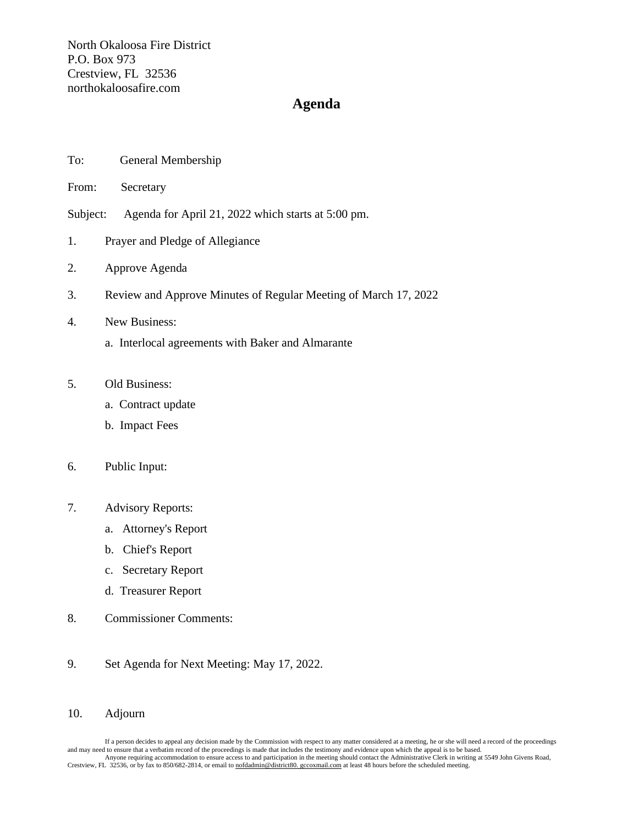North Okaloosa Fire District P.O. Box 973 Crestview, FL 32536 northokaloosafire.com

## **Agenda**

| To: | General Membership |  |
|-----|--------------------|--|
|     |                    |  |

From: Secretary

Subject: Agenda for April 21, 2022 which starts at 5:00 pm.

- 1. Prayer and Pledge of Allegiance
- 2. Approve Agenda
- 3. Review and Approve Minutes of Regular Meeting of March 17, 2022
- 4. New Business:
	- a. Interlocal agreements with Baker and Almarante
- 5. Old Business:
	- a. Contract update
	- b. Impact Fees

## 6. Public Input:

- 7. Advisory Reports:
	- a. Attorney's Report
	- b. Chief's Report
	- c. Secretary Report
	- d. Treasurer Report
- 8. Commissioner Comments:
- 9. Set Agenda for Next Meeting: May 17, 2022.

## 10. Adjourn

If a person decides to appeal any decision made by the Commission with respect to any matter considered at a meeting, he or she will need a record of the proceedings and may need to ensure that a verbatim record of the proceedings is made that includes the testimony and evidence upon which the appeal is to be based.<br>Anyone requiring accommodation to ensure access to and participation i